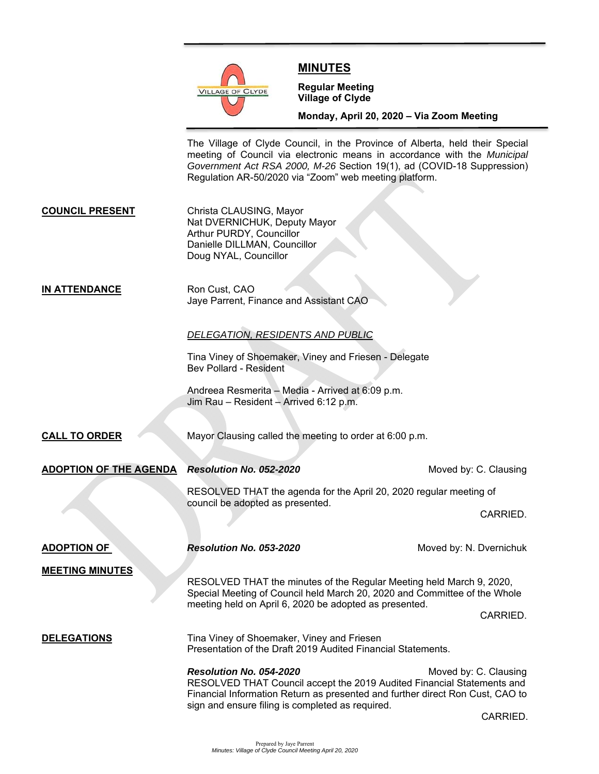

# **MINUTES**

**Regular Meeting Village of Clyde** 

**Monday, April 20, 2020 – Via Zoom Meeting** 

The Village of Clyde Council, in the Province of Alberta, held their Special meeting of Council via electronic means in accordance with the *Municipal Government Act RSA 2000, M-26* Section 19(1), ad (COVID-18 Suppression) Regulation AR-50/2020 via "Zoom" web meeting platform.

**COUNCIL PRESENT** Christa CLAUSING, Mayor Nat DVERNICHUK, Deputy Mayor Arthur PURDY, Councillor Danielle DILLMAN, Councillor Doug NYAL, Councillor

**IN ATTENDANCE** Ron Cust, CAO Jaye Parrent, Finance and Assistant CAO

## *DELEGATION, RESIDENTS AND PUBLIC*

 Tina Viney of Shoemaker, Viney and Friesen - Delegate Bev Pollard - Resident

 Andreea Resmerita – Media - Arrived at 6:09 p.m. Jim Rau – Resident – Arrived 6:12 p.m.

**CALL TO ORDER** Mayor Clausing called the meeting to order at 6:00 p.m.

**ADOPTION OF THE AGENDA** *Resolution No. 052-2020* **Moved by: C. Clausing Moved by: C. Clausing** 

RESOLVED THAT the agenda for the April 20, 2020 regular meeting of council be adopted as presented.

CARRIED.

**ADOPTION OF** *Resolution No. 053-2020* **Moved by: N. Dvernichuk MEETING MINUTES** RESOLVED THAT the minutes of the Regular Meeting held March 9, 2020, Special Meeting of Council held March 20, 2020 and Committee of the Whole meeting held on April 6, 2020 be adopted as presented. CARRIED. **DELEGATIONS** Tina Viney of Shoemaker, Viney and Friesen Presentation of the Draft 2019 Audited Financial Statements. **Resolution No. 054-2020** Moved by: C. Clausing RESOLVED THAT Council accept the 2019 Audited Financial Statements and Financial Information Return as presented and further direct Ron Cust, CAO to sign and ensure filing is completed as required.

CARRIED.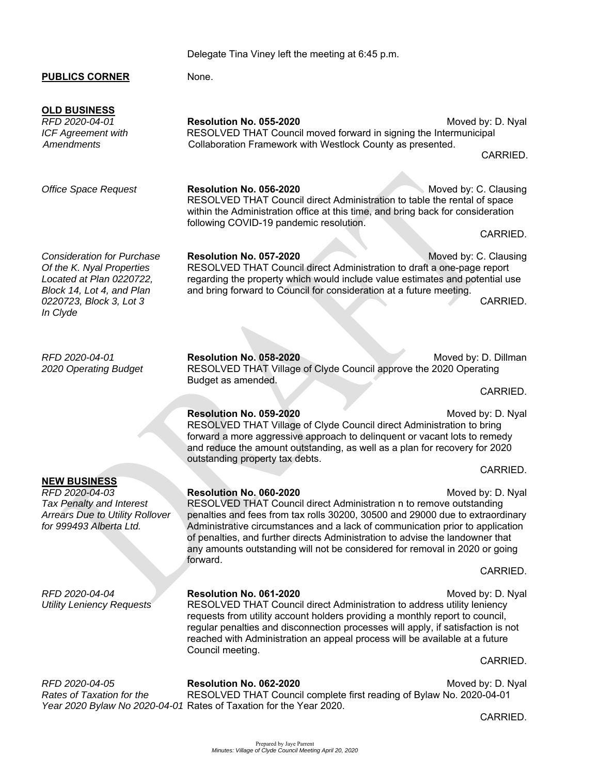Delegate Tina Viney left the meeting at 6:45 p.m.

# **PUBLICS CORNER** None.

*RFD 2020-04-01* **Resolution No. 055-2020** Moved by: D. Nyal *ICF Agreement with* **RESOLVED THAT Council moved forward in signing the Intermunicipal** *Amendments* Collaboration Framework with Westlock County as presented. CARRIED.

**Office Space Request Resolution No. 056-2020** Moved by: C. Clausing within the Administration office at this time, and bring back for consideration **CARRIED. CARRIED.** 

**Consideration for Purchase Resolution No. 057-2020** Moved by: C. Clausing *Of the K. Nyal Properties* RESOLVED THAT Council direct Administration to draft a one-page report *Located at Plan 0220722,* regarding the property which would include value estimates and potential use *Block 14, Lot 4, and Plan* and bring forward to Council for consideration at a future meeting. *0220723, Block 3, Lot 3* CARRIED.

*RFD 2020-04-01* **Resolution No. 058-2020** Moved by: D. Dillman *2020 Operating Budget* RESOLVED THAT Village of Clyde Council approve the 2020 Operating Budget as amended. **CARRIED.** CARRIED.

> **Resolution No. 059-2020** Moved by: D. Nyal RESOLVED THAT Village of Clyde Council direct Administration to bring forward a more aggressive approach to delinquent or vacant lots to remedy and reduce the amount outstanding, as well as a plan for recovery for 2020 outstanding property tax debts.

*RFD 2020-04-03* **Resolution No. 060-2020** Moved by: D. Nyal Tax Penalty and Interest **RESOLVED THAT Council direct Administration n to remove outstanding** *Arrears Due to Utility Rollover* penalties and fees from tax rolls 30200, 30500 and 29000 due to extraordinary *for 999493 Alberta Ltd.* Administrative circumstances and a lack of communication prior to application of penalties, and further directs Administration to advise the landowner that any amounts outstanding will not be considered for removal in 2020 or going forward.

*RFD 2020-04-04* **Resolution No. 061-2020** Moved by: D. Nyal *Utility Leniency Requests* RESOLVED THAT Council direct Administration to address utility leniency requests from utility account holders providing a monthly report to council, regular penalties and disconnection processes will apply, if satisfaction is not reached with Administration an appeal process will be available at a future Council meeting.

*RFD 2020-04-05* **Resolution No. 062-2020** Moved by: D. Nyal *Rates of Taxation for the* RESOLVED THAT Council complete first reading of Bylaw No. 2020-04-01 *Year 2020 Bylaw No 2020-04-01* Rates of Taxation for the Year 2020.

**NEW BUSINESS** 

**CARRIED.** CARRIED.

**CARRIED. CARRIED.** 

**CARRIED.** The contract of the contract of the contract of the contract of the contract of the contract of the contract of the contract of the contract of the contract of the contract of the contract of the contract of the

CARRIED.

*In Clyde* 

**OLD BUSINESS** 

RESOLVED THAT Council direct Administration to table the rental of space following COVID-19 pandemic resolution.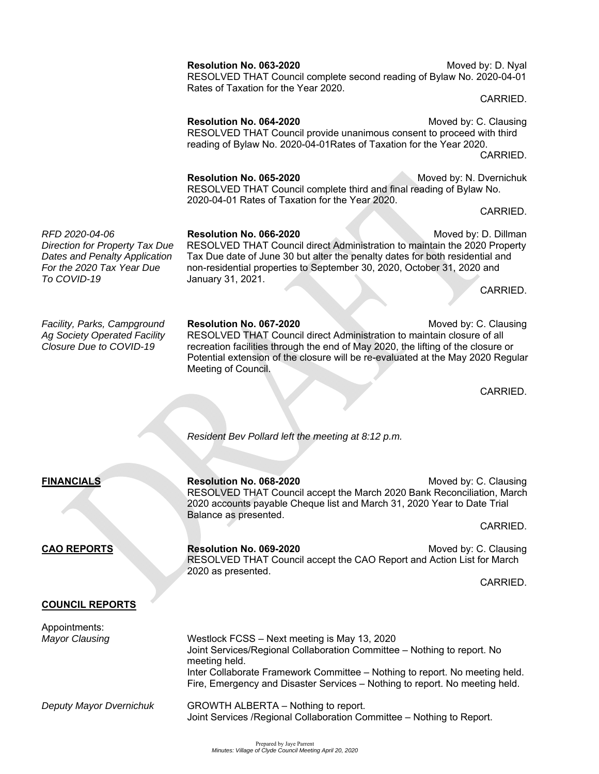*To COVID-19* January 31, 2021.

# **Resolution No. 063-2020** Moved by: D. Nyal

 RESOLVED THAT Council complete second reading of Bylaw No. 2020-04-01 Rates of Taxation for the Year 2020.

**Resolution No. 064-2020** Moved by: C. Clausing RESOLVED THAT Council provide unanimous consent to proceed with third reading of Bylaw No. 2020-04-01Rates of Taxation for the Year 2020. **CARRIED.** The contract of the contract of the contract of the contract of the contract of the contract of the contract of the contract of the contract of the contract of the contract of the contract of the contract of the

> **Resolution No. 065-2020** Moved by: N. Dvernichuk RESOLVED THAT Council complete third and final reading of Bylaw No. 2020-04-01 Rates of Taxation for the Year 2020.

*RFD 2020-04-06* **Resolution No. 066-2020** Moved by: D. Dillman *Direction for Property Tax Due* RESOLVED THAT Council direct Administration to maintain the 2020 Property *Dates and Penalty Application* Tax Due date of June 30 but alter the penalty dates for both residential and

*For the 2020 Tax Year Due* non-residential properties to September 30, 2020, October 31, 2020 and **CARRIED.** CARRIED.

*Facility, Parks, Campground* **Resolution No. 067-2020** Moved by: C. Clausing *Ag Society Operated Facility* RESOLVED THAT Council direct Administration to maintain closure of all *Closure Due to COVID-19* recreation facilities through the end of May 2020, the lifting of the closure or Potential extension of the closure will be re-evaluated at the May 2020 Regular Meeting of Council.

**CARRIED.** CARRIED.

 *Resident Bev Pollard left the meeting at 8:12 p.m.* 

**FINANCIALS Resolution No. 068-2020 Moved by: C. Clausing Resolution No. 068-2020** RESOLVED THAT Council accept the March 2020 Bank Reconciliation, March 2020 accounts payable Cheque list and March 31, 2020 Year to Date Trial Balance as presented.

**CARRIED. CARRIED.** 

**CAO REPORTS Resolution No. 069-2020** Moved by: C. Clausing RESOLVED THAT Council accept the CAO Report and Action List for March 2020 as presented.

**CARRIED. CARRIED.** 

## **COUNCIL REPORTS**

Appointments: *Mayor Clausing* Westlock FCSS – Next meeting is May 13, 2020 Joint Services/Regional Collaboration Committee – Nothing to report. No meeting held. Inter Collaborate Framework Committee – Nothing to report. No meeting held. Fire, Emergency and Disaster Services – Nothing to report. No meeting held. *Deputy Mayor Dvernichuk* GROWTH ALBERTA – Nothing to report. Joint Services /Regional Collaboration Committee – Nothing to Report.

**CARRIED.** The contract of the contract of the contract of the contract of the contract of the contract of the contract of the contract of the contract of the contract of the contract of the contract of the contract of the

**CARRIED. CARRIED.**